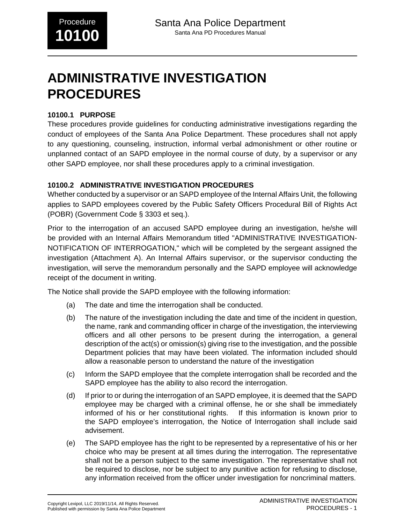# **ADMINISTRATIVE INVESTIGATION PROCEDURES**

#### **10100.1 PURPOSE**

These procedures provide guidelines for conducting administrative investigations regarding the conduct of employees of the Santa Ana Police Department. These procedures shall not apply to any questioning, counseling, instruction, informal verbal admonishment or other routine or unplanned contact of an SAPD employee in the normal course of duty, by a supervisor or any other SAPD employee, nor shall these procedures apply to a criminal investigation.

### **10100.2 ADMINISTRATIVE INVESTIGATION PROCEDURES**

Whether conducted by a supervisor or an SAPD employee of the Internal Affairs Unit, the following applies to SAPD employees covered by the Public Safety Officers Procedural Bill of Rights Act (POBR) (Government Code § 3303 et seq.).

Prior to the interrogation of an accused SAPD employee during an investigation, he/she will be provided with an Internal Affairs Memorandum titled "ADMINISTRATIVE INVESTIGATION-NOTIFICATION OF INTERROGATION," which will be completed by the sergeant assigned the investigation (Attachment A). An Internal Affairs supervisor, or the supervisor conducting the investigation, will serve the memorandum personally and the SAPD employee will acknowledge receipt of the document in writing.

The Notice shall provide the SAPD employee with the following information:

- (a) The date and time the interrogation shall be conducted.
- (b) The nature of the investigation including the date and time of the incident in question, the name, rank and commanding officer in charge of the investigation, the interviewing officers and all other persons to be present during the interrogation, a general description of the act(s) or omission(s) giving rise to the investigation, and the possible Department policies that may have been violated. The information included should allow a reasonable person to understand the nature of the investigation
- (c) Inform the SAPD employee that the complete interrogation shall be recorded and the SAPD employee has the ability to also record the interrogation.
- (d) If prior to or during the interrogation of an SAPD employee, it is deemed that the SAPD employee may be charged with a criminal offense, he or she shall be immediately informed of his or her constitutional rights. If this information is known prior to the SAPD employee's interrogation, the Notice of Interrogation shall include said advisement.
- (e) The SAPD employee has the right to be represented by a representative of his or her choice who may be present at all times during the interrogation. The representative shall not be a person subject to the same investigation. The representative shall not be required to disclose, nor be subject to any punitive action for refusing to disclose, any information received from the officer under investigation for noncriminal matters.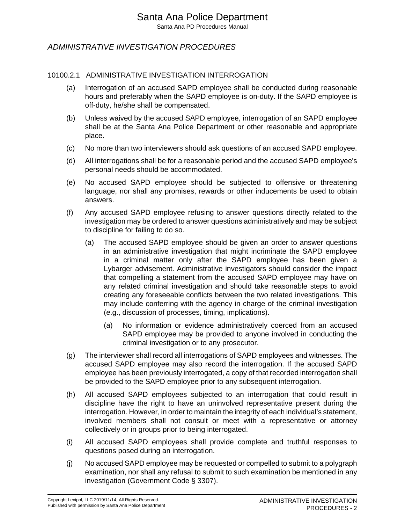ADMINISTRATIVE INVESTIGATION PROCEDURES

#### 10100.2.1 ADMINISTRATIVE INVESTIGATION INTERROGATION

- (a) Interrogation of an accused SAPD employee shall be conducted during reasonable hours and preferably when the SAPD employee is on-duty. If the SAPD employee is off-duty, he/she shall be compensated.
- (b) Unless waived by the accused SAPD employee, interrogation of an SAPD employee shall be at the Santa Ana Police Department or other reasonable and appropriate place.
- (c) No more than two interviewers should ask questions of an accused SAPD employee.
- (d) All interrogations shall be for a reasonable period and the accused SAPD employee's personal needs should be accommodated.
- (e) No accused SAPD employee should be subjected to offensive or threatening language, nor shall any promises, rewards or other inducements be used to obtain answers.
- (f) Any accused SAPD employee refusing to answer questions directly related to the investigation may be ordered to answer questions administratively and may be subject to discipline for failing to do so.
	- (a) The accused SAPD employee should be given an order to answer questions in an administrative investigation that might incriminate the SAPD employee in a criminal matter only after the SAPD employee has been given a Lybarger advisement. Administrative investigators should consider the impact that compelling a statement from the accused SAPD employee may have on any related criminal investigation and should take reasonable steps to avoid creating any foreseeable conflicts between the two related investigations. This may include conferring with the agency in charge of the criminal investigation (e.g., discussion of processes, timing, implications).
		- (a) No information or evidence administratively coerced from an accused SAPD employee may be provided to anyone involved in conducting the criminal investigation or to any prosecutor.
- (g) The interviewer shall record all interrogations of SAPD employees and witnesses. The accused SAPD employee may also record the interrogation. If the accused SAPD employee has been previously interrogated, a copy of that recorded interrogation shall be provided to the SAPD employee prior to any subsequent interrogation.
- (h) All accused SAPD employees subjected to an interrogation that could result in discipline have the right to have an uninvolved representative present during the interrogation. However, in order to maintain the integrity of each individual's statement, involved members shall not consult or meet with a representative or attorney collectively or in groups prior to being interrogated.
- (i) All accused SAPD employees shall provide complete and truthful responses to questions posed during an interrogation.
- (j) No accused SAPD employee may be requested or compelled to submit to a polygraph examination, nor shall any refusal to submit to such examination be mentioned in any investigation (Government Code § 3307).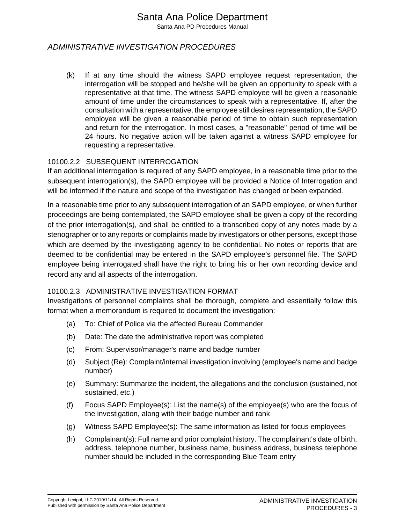Santa Ana PD Procedures Manual

#### ADMINISTRATIVE INVESTIGATION PROCEDURES

(k) If at any time should the witness SAPD employee request representation, the interrogation will be stopped and he/she will be given an opportunity to speak with a representative at that time. The witness SAPD employee will be given a reasonable amount of time under the circumstances to speak with a representative. If, after the consultation with a representative, the employee still desires representation, the SAPD employee will be given a reasonable period of time to obtain such representation and return for the interrogation. In most cases, a "reasonable" period of time will be 24 hours. No negative action will be taken against a witness SAPD employee for requesting a representative.

#### 10100.2.2 SUBSEQUENT INTERROGATION

If an additional interrogation is required of any SAPD employee, in a reasonable time prior to the subsequent interrogation(s), the SAPD employee will be provided a Notice of Interrogation and will be informed if the nature and scope of the investigation has changed or been expanded.

In a reasonable time prior to any subsequent interrogation of an SAPD employee, or when further proceedings are being contemplated, the SAPD employee shall be given a copy of the recording of the prior interrogation(s), and shall be entitled to a transcribed copy of any notes made by a stenographer or to any reports or complaints made by investigators or other persons, except those which are deemed by the investigating agency to be confidential. No notes or reports that are deemed to be confidential may be entered in the SAPD employee's personnel file. The SAPD employee being interrogated shall have the right to bring his or her own recording device and record any and all aspects of the interrogation.

#### 10100.2.3 ADMINISTRATIVE INVESTIGATION FORMAT

Investigations of personnel complaints shall be thorough, complete and essentially follow this format when a memorandum is required to document the investigation:

- (a) To: Chief of Police via the affected Bureau Commander
- (b) Date: The date the administrative report was completed
- (c) From: Supervisor/manager's name and badge number
- (d) Subject (Re): Complaint/internal investigation involving (employee's name and badge number)
- (e) Summary: Summarize the incident, the allegations and the conclusion (sustained, not sustained, etc.)
- (f) Focus SAPD Employee(s): List the name(s) of the employee(s) who are the focus of the investigation, along with their badge number and rank
- (g) Witness SAPD Employee(s): The same information as listed for focus employees
- (h) Complainant(s): Full name and prior complaint history. The complainant's date of birth, address, telephone number, business name, business address, business telephone number should be included in the corresponding Blue Team entry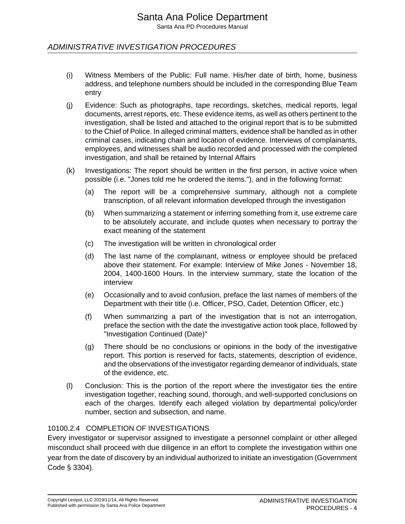ADMINISTRATIVE INVESTIGATION PROCEDURES

- (i) Witness Members of the Public: Full name. His/her date of birth, home, business address, and telephone numbers should be included in the corresponding Blue Team entry
- (j) Evidence: Such as photographs, tape recordings, sketches, medical reports, legal documents, arrest reports, etc. These evidence items, as well as others pertinent to the investigation, shall be listed and attached to the original report that is to be submitted to the Chief of Police. In alleged criminal matters, evidence shall be handled as in other criminal cases, indicating chain and location of evidence. Interviews of complainants, employees, and witnesses shall be audio recorded and processed with the completed investigation, and shall be retained by Internal Affairs
- (k) Investigations: The report should be written in the first person, in active voice when possible (i.e. "Jones told me he ordered the items."), and in the following format:
	- (a) The report will be a comprehensive summary, although not a complete transcription, of all relevant information developed through the investigation
	- (b) When summarizing a statement or inferring something from it, use extreme care to be absolutely accurate, and include quotes when necessary to portray the exact meaning of the statement
	- (c) The investigation will be written in chronological order
	- (d) The last name of the complainant, witness or employee should be prefaced above their statement. For example: Interview of Mike Jones - November 18, 2004, 1400-1600 Hours. In the interview summary, state the location of the interview
	- (e) Occasionally and to avoid confusion, preface the last names of members of the Department with their title (i.e. Officer, PSO, Cadet, Detention Officer, etc.)
	- (f) When summarizing a part of the investigation that is not an interrogation, preface the section with the date the investigative action took place, followed by "Investigation Continued (Date)"
	- (g) There should be no conclusions or opinions in the body of the investigative report. This portion is reserved for facts, statements, description of evidence, and the observations of the investigator regarding demeanor of individuals, state of the evidence, etc.
- (l) Conclusion: This is the portion of the report where the investigator ties the entire investigation together, reaching sound, thorough, and well-supported conclusions on each of the charges. Identify each alleged violation by departmental policy/order number, section and subsection, and name.

#### 10100.2.4 COMPLETION OF INVESTIGATIONS

Every investigator or supervisor assigned to investigate a personnel complaint or other alleged misconduct shall proceed with due diligence in an effort to complete the investigation within one year from the date of discovery by an individual authorized to initiate an investigation (Government Code § 3304).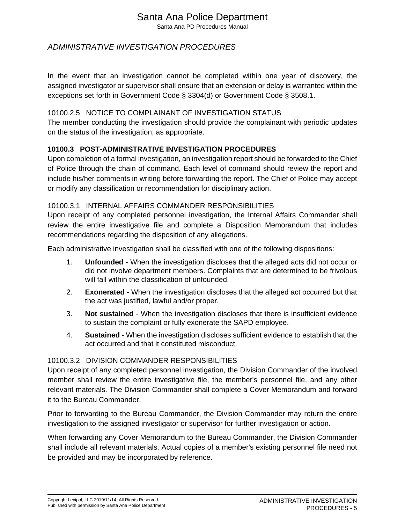Santa Ana PD Procedures Manual

### ADMINISTRATIVE INVESTIGATION PROCEDURES

In the event that an investigation cannot be completed within one year of discovery, the assigned investigator or supervisor shall ensure that an extension or delay is warranted within the exceptions set forth in Government Code § 3304(d) or Government Code § 3508.1.

#### 10100.2.5 NOTICE TO COMPLAINANT OF INVESTIGATION STATUS

The member conducting the investigation should provide the complainant with periodic updates on the status of the investigation, as appropriate.

#### **10100.3 POST-ADMINISTRATIVE INVESTIGATION PROCEDURES**

Upon completion of a formal investigation, an investigation report should be forwarded to the Chief of Police through the chain of command. Each level of command should review the report and include his/her comments in writing before forwarding the report. The Chief of Police may accept or modify any classification or recommendation for disciplinary action.

#### 10100.3.1 INTERNAL AFFAIRS COMMANDER RESPONSIBILITIES

Upon receipt of any completed personnel investigation, the Internal Affairs Commander shall review the entire investigative file and complete a Disposition Memorandum that includes recommendations regarding the disposition of any allegations.

Each administrative investigation shall be classified with one of the following dispositions:

- 1. **Unfounded**  When the investigation discloses that the alleged acts did not occur or did not involve department members. Complaints that are determined to be frivolous will fall within the classification of unfounded.
- 2. **Exonerated**  When the investigation discloses that the alleged act occurred but that the act was justified, lawful and/or proper.
- 3. **Not sustained**  When the investigation discloses that there is insufficient evidence to sustain the complaint or fully exonerate the SAPD employee.
- 4. **Sustained**  When the investigation discloses sufficient evidence to establish that the act occurred and that it constituted misconduct.

#### 10100.3.2 DIVISION COMMANDER RESPONSIBILITIES

Upon receipt of any completed personnel investigation, the Division Commander of the involved member shall review the entire investigative file, the member's personnel file, and any other relevant materials. The Division Commander shall complete a Cover Memorandum and forward it to the Bureau Commander.

Prior to forwarding to the Bureau Commander, the Division Commander may return the entire investigation to the assigned investigator or supervisor for further investigation or action.

When forwarding any Cover Memorandum to the Bureau Commander, the Division Commander shall include all relevant materials. Actual copies of a member's existing personnel file need not be provided and may be incorporated by reference.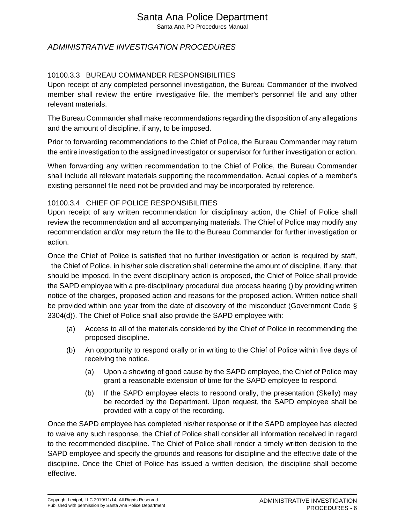Santa Ana PD Procedures Manual

## ADMINISTRATIVE INVESTIGATION PROCEDURES

#### 10100.3.3 BUREAU COMMANDER RESPONSIBILITIES

Upon receipt of any completed personnel investigation, the Bureau Commander of the involved member shall review the entire investigative file, the member's personnel file and any other relevant materials.

The Bureau Commander shall make recommendations regarding the disposition of any allegations and the amount of discipline, if any, to be imposed.

Prior to forwarding recommendations to the Chief of Police, the Bureau Commander may return the entire investigation to the assigned investigator or supervisor for further investigation or action.

When forwarding any written recommendation to the Chief of Police, the Bureau Commander shall include all relevant materials supporting the recommendation. Actual copies of a member's existing personnel file need not be provided and may be incorporated by reference.

#### 10100.3.4 CHIEF OF POLICE RESPONSIBILITIES

Upon receipt of any written recommendation for disciplinary action, the Chief of Police shall review the recommendation and all accompanying materials. The Chief of Police may modify any recommendation and/or may return the file to the Bureau Commander for further investigation or action.

Once the Chief of Police is satisfied that no further investigation or action is required by staff, the Chief of Police, in his/her sole discretion shall determine the amount of discipline, if any, that should be imposed. In the event disciplinary action is proposed, the Chief of Police shall provide the SAPD employee with a pre-disciplinary procedural due process hearing () by providing written notice of the charges, proposed action and reasons for the proposed action. Written notice shall be provided within one year from the date of discovery of the misconduct (Government Code § 3304(d)). The Chief of Police shall also provide the SAPD employee with:

- (a) Access to all of the materials considered by the Chief of Police in recommending the proposed discipline.
- (b) An opportunity to respond orally or in writing to the Chief of Police within five days of receiving the notice.
	- (a) Upon a showing of good cause by the SAPD employee, the Chief of Police may grant a reasonable extension of time for the SAPD employee to respond.
	- (b) If the SAPD employee elects to respond orally, the presentation (Skelly) may be recorded by the Department. Upon request, the SAPD employee shall be provided with a copy of the recording.

Once the SAPD employee has completed his/her response or if the SAPD employee has elected to waive any such response, the Chief of Police shall consider all information received in regard to the recommended discipline. The Chief of Police shall render a timely written decision to the SAPD employee and specify the grounds and reasons for discipline and the effective date of the discipline. Once the Chief of Police has issued a written decision, the discipline shall become effective.